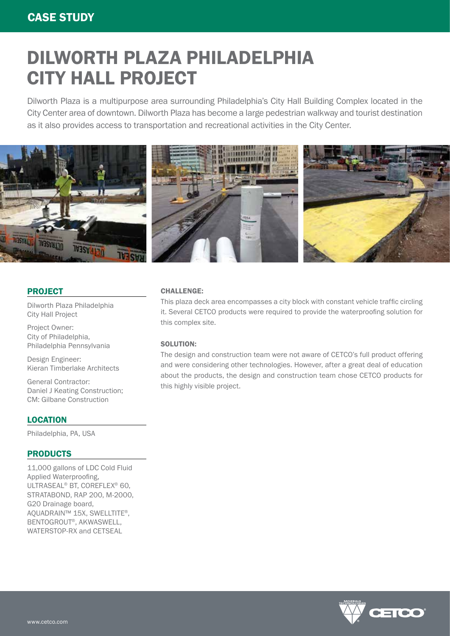# DILWORTH PLAZA PHILADELPHIA CITY HALL PROJECT

Dilworth Plaza is a multipurpose area surrounding Philadelphia's City Hall Building Complex located in the City Center area of downtown. Dilworth Plaza has become a large pedestrian walkway and tourist destination as it also provides access to transportation and recreational activities in the City Center.



# PROJECT

Dilworth Plaza Philadelphia City Hall Project

Project Owner: City of Philadelphia, Philadelphia Pennsylvania

Design Engineer: Kieran Timberlake Architects

General Contractor: Daniel J Keating Construction; CM: Gilbane Construction

# **LOCATION**

Philadelphia, PA, USA

## PRODUCTS

11,000 gallons of LDC Cold Fluid Applied Waterproofing, ULTRASEAL® BT, COREFLEX® 60, STRATABOND, RAP 200, M-2000, G20 Drainage board, AQUADRAIN™ 15X, SWELLTITE®, BENTOGROUT®, AKWASWELL, WATERSTOP-RX and CETSEAL

### CHALLENGE:

This plaza deck area encompasses a city block with constant vehicle traffic circling it. Several CETCO products were required to provide the waterproofing solution for this complex site.

#### SOLUTION:

The design and construction team were not aware of CETCO's full product offering and were considering other technologies. However, after a great deal of education about the products, the design and construction team chose CETCO products for this highly visible project.